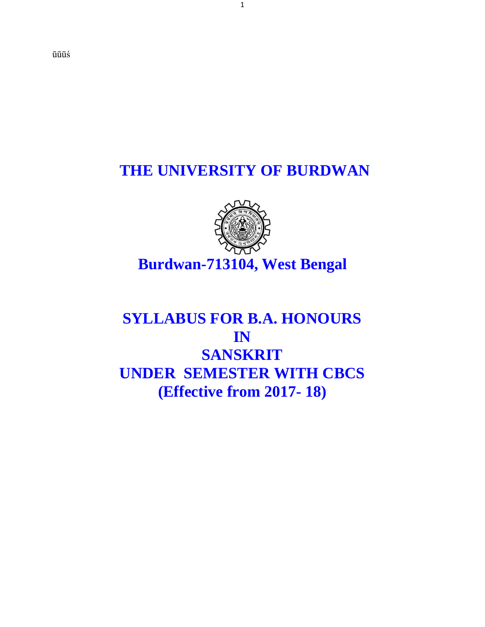ūūūś

### **THE UNIVERSITY OF BURDWAN**



# **Burdwan-713104, West Bengal**

## **SYLLABUS FOR B.A. HONOURS IN SANSKRIT UNDER SEMESTER WITH CBCS (Effective from 2017- 18)**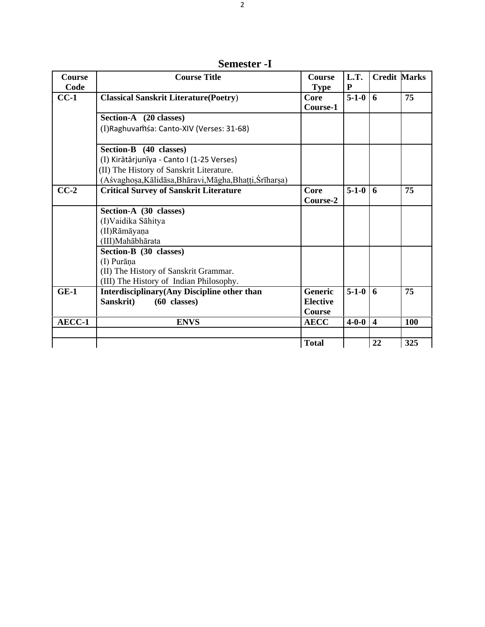**Semester -I**

| Course            | <b>Course Title</b>                                     | <b>Course</b>   | L.T.        | <b>Credit Marks</b>     |     |
|-------------------|---------------------------------------------------------|-----------------|-------------|-------------------------|-----|
| Code              |                                                         | <b>Type</b>     | ${\bf P}$   |                         |     |
| $CC-1$            | <b>Classical Sanskrit Literature (Poetry)</b>           | Core            | $5 - 1 - 0$ | 6                       | 75  |
|                   |                                                         | Course-1        |             |                         |     |
|                   | Section-A (20 classes)                                  |                 |             |                         |     |
|                   | (I) Raghuvamsa: Canto-XIV (Verses: 31-68)               |                 |             |                         |     |
|                   |                                                         |                 |             |                         |     |
|                   | Section-B (40 classes)                                  |                 |             |                         |     |
|                   | (I) Kirātārjunīya - Canto I (1-25 Verses)               |                 |             |                         |     |
|                   | (II) The History of Sanskrit Literature.                |                 |             |                         |     |
|                   | (Aśvaghosa, Kālidāsa, Bhāravi, Māgha, Bhaṭṭi, Śrīharṣa) |                 |             |                         |     |
| $\overline{CC-2}$ | <b>Critical Survey of Sanskrit Literature</b>           | Core            | $5 - 1 - 0$ | 6                       | 75  |
|                   |                                                         | Course-2        |             |                         |     |
|                   | Section-A (30 classes)                                  |                 |             |                         |     |
|                   | (I) Vaidika Sāhitya                                     |                 |             |                         |     |
|                   | (II)Rāmāyaņa                                            |                 |             |                         |     |
|                   | (III) Mahābhārata                                       |                 |             |                         |     |
|                   | Section-B (30 classes)                                  |                 |             |                         |     |
|                   | (I) Purāņa                                              |                 |             |                         |     |
|                   | (II) The History of Sanskrit Grammar.                   |                 |             |                         |     |
|                   | (III) The History of Indian Philosophy.                 |                 |             |                         |     |
| $GE-1$            | Interdisciplinary(Any Discipline other than             | <b>Generic</b>  | $5 - 1 - 0$ | 6                       | 75  |
|                   | Sanskrit)<br>$(60 \text{ classes})$                     | <b>Elective</b> |             |                         |     |
|                   |                                                         | <b>Course</b>   |             |                         |     |
| AECC-1            | <b>ENVS</b>                                             | <b>AECC</b>     | $4 - 0 - 0$ | $\overline{\mathbf{4}}$ | 100 |
|                   |                                                         |                 |             |                         |     |
|                   |                                                         | <b>Total</b>    |             | 22                      | 325 |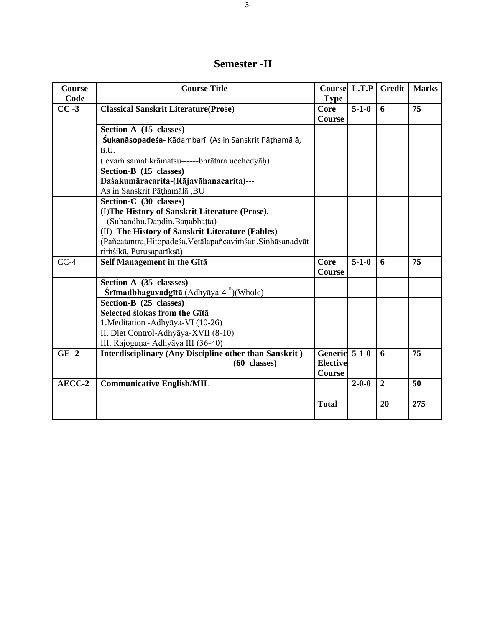#### **Semester -II**

| <b>Course</b> | <b>Course Title</b>                                           | <b>Coursel L.T.P</b> |             | <b>Credit</b>  | <b>Marks</b>    |
|---------------|---------------------------------------------------------------|----------------------|-------------|----------------|-----------------|
| Code          |                                                               | <b>Type</b>          |             |                |                 |
| $CC -3$       | <b>Classical Sanskrit Literature(Prose)</b>                   | Core                 | $5 - 1 - 0$ | 6              | 75              |
|               |                                                               | Course               |             |                |                 |
|               | Section-A (15 classes)                                        |                      |             |                |                 |
|               | <b>Śukanāsopadeśa-</b> Kādambarī (As in Sanskrit Pāṭhamālā,   |                      |             |                |                 |
|               | B.U.                                                          |                      |             |                |                 |
|               | (evam samatikrāmatsu------bhrātara ucchedyāḥ)                 |                      |             |                |                 |
|               | Section-B (15 classes)                                        |                      |             |                |                 |
|               | Daśakumāracarita-(Rājavāhanacarita)---                        |                      |             |                |                 |
|               | As in Sanskrit Pāthamālā, BU                                  |                      |             |                |                 |
|               | Section-C (30 classes)                                        |                      |             |                |                 |
|               | (I) The History of Sanskrit Literature (Prose).               |                      |             |                |                 |
|               | (Subandhu, Dandin, Bānabhaṭṭa)                                |                      |             |                |                 |
|               | (II) The History of Sanskrit Literature (Fables)              |                      |             |                |                 |
|               | (Pañcatantra, Hitopadeśa, Vetālapañcavimśati, Sinhāsanadvāt   |                      |             |                |                 |
|               | rimśikā, Purusaparīksā)                                       |                      |             |                |                 |
| $CC-4$        | Self Management in the Gītā                                   | <b>Core</b>          | $5 - 1 - 0$ | 6              | 75              |
|               |                                                               | Course               |             |                |                 |
|               | Section-A (35 classses)                                       |                      |             |                |                 |
|               | Śrīmadbhagavadgītā (Adhyāya-4 <sup>th</sup> )(Whole)          |                      |             |                |                 |
|               | Section-B (25 classes)                                        |                      |             |                |                 |
|               | Selected ślokas from the Gītā                                 |                      |             |                |                 |
|               | 1. Meditation - Adhyāya-VI (10-26)                            |                      |             |                |                 |
|               | II. Diet Control-Adhyāya-XVII (8-10)                          |                      |             |                |                 |
|               | III. Rajoguņa- Adhyāya III (36-40)                            |                      |             |                |                 |
| $GE -2$       | <b>Interdisciplinary (Any Discipline other than Sanskrit)</b> | Generic 5-1-0        |             | 6              | 75              |
|               | $(60 \text{ classes})$                                        | <b>Elective</b>      |             |                |                 |
|               |                                                               | <b>Course</b>        |             |                |                 |
| AECC-2        | <b>Communicative English/MIL</b>                              |                      | $2 - 0 - 0$ | $\overline{2}$ | $\overline{50}$ |
|               |                                                               |                      |             |                |                 |
|               |                                                               | <b>Total</b>         |             | 20             | 275             |
|               |                                                               |                      |             |                |                 |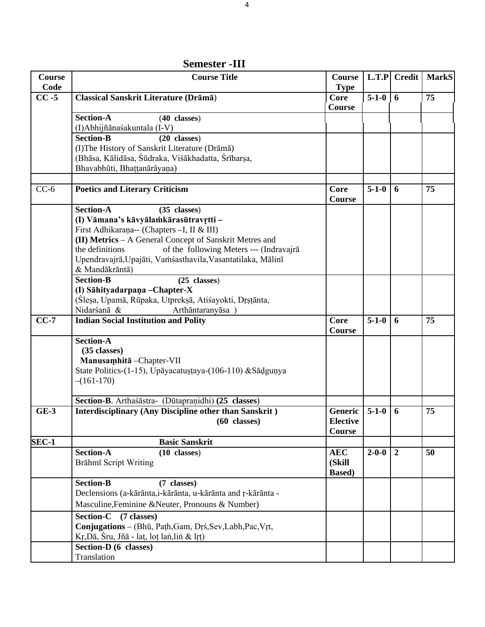| Course   | <b>Course Title</b>                                           | <b>Course</b>   |             | $L.T.P$ Credit | <b>MarkS</b> |
|----------|---------------------------------------------------------------|-----------------|-------------|----------------|--------------|
| Code     |                                                               | <b>Type</b>     |             |                |              |
| $CC - 5$ | Classical Sanskrit Literature (Drāmā)                         | Core            | $5 - 1 - 0$ | 6              | 75           |
|          |                                                               | Course          |             |                |              |
|          | <b>Section-A</b><br>$(40 \text{ classes})$                    |                 |             |                |              |
|          | (I)Abhijñānaśakuntala (I-V)                                   |                 |             |                |              |
|          | <b>Section-B</b><br>$(20 \text{ classes})$                    |                 |             |                |              |
|          | (I) The History of Sanskrit Literature (Drāmā)                |                 |             |                |              |
|          | (Bhāsa, Kālidāsa, Śūdraka, Viśākhadatta, Śrīharṣa,            |                 |             |                |              |
|          | Bhavabhūti, Bhaṭṭanārāyaṇa)                                   |                 |             |                |              |
|          |                                                               |                 |             |                |              |
| $CC-6$   | <b>Poetics and Literary Criticism</b>                         | Core            | $5 - 1 - 0$ | 6              | 75           |
|          |                                                               | Course          |             |                |              |
|          | <b>Section-A</b><br>$(35 \text{ classes})$                    |                 |             |                |              |
|          | (I) Vāmana's kāvyālamkārasūtravŗtti -                         |                 |             |                |              |
|          | First Adhikarana-- (Chapters -I, II & III)                    |                 |             |                |              |
|          | (II) Metrics - A General Concept of Sanskrit Metres and       |                 |             |                |              |
|          | the definitions<br>of the following Meters --- (Indravajrā    |                 |             |                |              |
|          |                                                               |                 |             |                |              |
|          | Upendravajrā, Upajāti, Vamśasthavila, Vasantatilaka, Mālinī   |                 |             |                |              |
|          | & Mandākrāntā)                                                |                 |             |                |              |
|          | Section-B<br>$(25 \text{ classes})$                           |                 |             |                |              |
|          | (I) Sāhityadarpaņa - Chapter-X                                |                 |             |                |              |
|          | (Slesa, Upamā, Rūpaka, Utpreksā, Atiśayokti, Drstānta,        |                 |             |                |              |
|          | Nidarśanā &<br>Arthāntaranyāsa)                               |                 |             |                |              |
| $CC-7$   | <b>Indian Social Institution and Polity</b>                   | Core            | $5 - 1 - 0$ | 6              | 75           |
|          |                                                               | Course          |             |                |              |
|          | <b>Section-A</b>                                              |                 |             |                |              |
|          | (35 classes)                                                  |                 |             |                |              |
|          | Manusamhitā - Chapter-VII                                     |                 |             |                |              |
|          | State Politics-(1-15), Upāyacatustaya-(106-110) & Sādguņya    |                 |             |                |              |
|          | $-(161-170)$                                                  |                 |             |                |              |
|          |                                                               |                 |             |                |              |
|          | Section-B. Arthaśāstra- (Dūtapraṇidhi) (25 classes)           |                 |             |                |              |
| $GE-3$   | <b>Interdisciplinary (Any Discipline other than Sanskrit)</b> | Generic         | $5 - 1 - 0$ | 6              | 75           |
|          | $(60 \text{ classes})$                                        | <b>Elective</b> |             |                |              |
|          |                                                               | <b>Course</b>   |             |                |              |
| SEC-1    | <b>Basic Sanskrit</b>                                         |                 |             |                |              |
|          | <b>Section-A</b><br>$(10 \text{ classes})$                    | <b>AEC</b>      | $2 - 0 - 0$ | $\overline{2}$ | 50           |
|          | Brāhmī Script Writing                                         | (Skill          |             |                |              |
|          |                                                               | <b>Based</b> )  |             |                |              |
|          | <b>Section-B</b><br>(7 classes)                               |                 |             |                |              |
|          | Declensions (a-kārānta, i-kārānta, u-kārānta and r-kārānta -  |                 |             |                |              |
|          |                                                               |                 |             |                |              |
|          | Masculine, Feminine & Neuter, Pronouns & Number)              |                 |             |                |              |
|          | Section-C (7 classes)                                         |                 |             |                |              |
|          | Conjugations - (Bhū, Path, Gam, Drś, Sev, Labh, Pac, Vrt,     |                 |             |                |              |
|          | Kr, Dā, Śru, Jñā - lat, loț lan, lin & lrt)                   |                 |             |                |              |
|          | Section-D (6 classes)                                         |                 |             |                |              |
|          | Translation                                                   |                 |             |                |              |

 **Semester -III**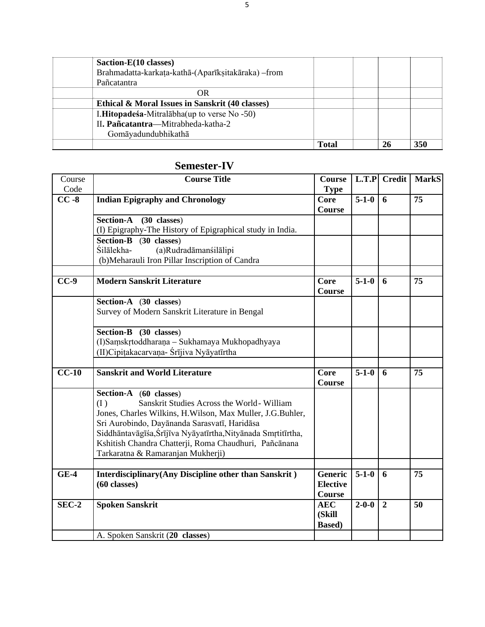| Saction-E(10 classes)                               |              |    |     |
|-----------------------------------------------------|--------------|----|-----|
| Brahmadatta-karkata-kathā-(Aparīkṣitakāraka) - from |              |    |     |
| Pañcatantra                                         |              |    |     |
| OR                                                  |              |    |     |
| Ethical & Moral Issues in Sanskrit (40 classes)     |              |    |     |
| I.Hitopadeśa-Mitralabha (up to verse No -50)        |              |    |     |
| II. Pañcatantra—Mitrabheda-katha-2                  |              |    |     |
| Gomāyadundubhikathā                                 |              |    |     |
|                                                     | <b>Total</b> | 26 | 350 |

#### **Semester-IV**

| Course<br>Code | <b>Course Title</b>                                                                                                                                                                                                                                                                                                                                     | <b>Course</b><br><b>Type</b>           |             | $L.T.P$ Credit | <b>MarkS</b> |
|----------------|---------------------------------------------------------------------------------------------------------------------------------------------------------------------------------------------------------------------------------------------------------------------------------------------------------------------------------------------------------|----------------------------------------|-------------|----------------|--------------|
| $CC - 8$       | <b>Indian Epigraphy and Chronology</b>                                                                                                                                                                                                                                                                                                                  | Core<br><b>Course</b>                  | $5-1-0$     | 6              | 75           |
|                | Section-A (30 classes)<br>(I) Epigraphy-The History of Epigraphical study in India.                                                                                                                                                                                                                                                                     |                                        |             |                |              |
|                | Section-B (30 classes)<br>Śilālekha-<br>(a)Rudradāmanśilālipi<br>(b) Meharauli Iron Pillar Inscription of Candra                                                                                                                                                                                                                                        |                                        |             |                |              |
| $CC-9$         | <b>Modern Sanskrit Literature</b>                                                                                                                                                                                                                                                                                                                       | Core<br><b>Course</b>                  | $5 - 1 - 0$ | 6              | 75           |
|                | Section-A (30 classes)<br>Survey of Modern Sanskrit Literature in Bengal                                                                                                                                                                                                                                                                                |                                        |             |                |              |
|                | Section-B (30 classes)<br>(I)Samskrtoddharana - Sukhamaya Mukhopadhyaya<br>(II) Cipitakacarvana- Śrījiva Nyāyatīrtha                                                                                                                                                                                                                                    |                                        |             |                |              |
| $CC-10$        | <b>Sanskrit and World Literature</b>                                                                                                                                                                                                                                                                                                                    | Core                                   | $5 - 1 - 0$ | 6              | 75           |
|                |                                                                                                                                                                                                                                                                                                                                                         | Course                                 |             |                |              |
|                | Section-A (60 classes)<br>Sanskrit Studies Across the World-William<br>(I)<br>Jones, Charles Wilkins, H. Wilson, Max Muller, J.G. Buhler,<br>Sri Aurobindo, Dayānanda Sarasvatī, Haridāsa<br>Siddhāntavāgīśa, Śrījīva Nyāyatīrtha, Nityānada Smrtitīrtha,<br>Kshitish Chandra Chatterji, Roma Chaudhuri, Pañcānana<br>Tarkaratna & Ramaranjan Mukherji) |                                        |             |                |              |
| $GE-4$         | <b>Interdisciplinary</b> (Any Discipline other than Sanskrit)                                                                                                                                                                                                                                                                                           | <b>Generic</b>                         | $5 - 1 - 0$ | 6              | 75           |
|                | $(60 \text{ classes})$                                                                                                                                                                                                                                                                                                                                  | <b>Elective</b><br><b>Course</b>       |             |                |              |
| SEC-2          | <b>Spoken Sanskrit</b>                                                                                                                                                                                                                                                                                                                                  | <b>AEC</b><br>(Skill<br><b>Based</b> ) | $2 - 0 - 0$ | $\overline{2}$ | 50           |
|                | A. Spoken Sanskrit (20 classes)                                                                                                                                                                                                                                                                                                                         |                                        |             |                |              |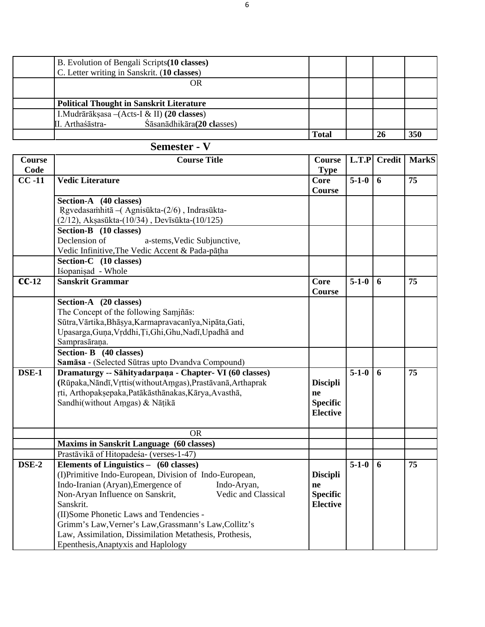| B. Evolution of Bengali Scripts (10 classes)    |              |     |     |
|-------------------------------------------------|--------------|-----|-----|
| C. Letter writing in Sanskrit. (10 classes)     |              |     |     |
| OR                                              |              |     |     |
|                                                 |              |     |     |
| <b>Political Thought in Sanskrit Literature</b> |              |     |     |
| I. Mudrārāksasa $-($ Acts-I & II) (20 classes)  |              |     |     |
| Śāsanādhikāra(20 classes)<br>II. Arthaśāstra-   |              |     |     |
|                                                 | <b>Total</b> | -26 | 350 |

### **Semester - V**

| <b>Course</b>      | <b>Course Title</b>                                           | <b>Course</b>         |                    | L.T.P Credit   | <b>MarkS</b>    |
|--------------------|---------------------------------------------------------------|-----------------------|--------------------|----------------|-----------------|
| Code               |                                                               | <b>Type</b>           |                    |                |                 |
| $\overline{CC-11}$ | <b>Vedic Literature</b>                                       | Core<br><b>Course</b> | $\overline{5-1-0}$ | $\overline{6}$ | $\overline{75}$ |
|                    | Section-A (40 classes)                                        |                       |                    |                |                 |
|                    | Rgvedasamhitā - (Agnisūkta-(2/6), Indrasūkta-                 |                       |                    |                |                 |
|                    | (2/12), Akṣasūkta-(10/34), Devīsūkta-(10/125)                 |                       |                    |                |                 |
|                    | Section-B (10 classes)                                        |                       |                    |                |                 |
|                    | Declension of<br>a-stems, Vedic Subjunctive,                  |                       |                    |                |                 |
|                    | Vedic Infinitive, The Vedic Accent & Pada-pāṭha               |                       |                    |                |                 |
|                    | Section-C (10 classes)                                        |                       |                    |                |                 |
|                    | Iśopanisad - Whole                                            |                       |                    |                |                 |
| $\overline{CC-12}$ | Sanskrit Grammar                                              | <b>Core</b>           | $5 - 1 - 0$        | 6              | 75              |
|                    |                                                               | <b>Course</b>         |                    |                |                 |
|                    | Section-A (20 classes)                                        |                       |                    |                |                 |
|                    | The Concept of the following Samjñās:                         |                       |                    |                |                 |
|                    | Sūtra, Vārtika, Bhāsya, Karmapravacanīya, Nipāta, Gati,       |                       |                    |                |                 |
|                    | Upasarga, Guna, Vrddhi, Ti, Ghi, Ghu, Nadī, Upadhā and        |                       |                    |                |                 |
|                    | Samprasāraņa.                                                 |                       |                    |                |                 |
|                    | Section-B (40 classes)                                        |                       |                    |                |                 |
|                    | Samāsa - (Selected Sūtras upto Dvandva Compound)              |                       |                    |                |                 |
| DSE-1              | Dramaturgy -- Sāhityadarpaṇa - Chapter- VI (60 classes)       |                       | $5 - 1 - 0$        | 6              | 75              |
|                    | (Rūpaka, Nāndī, Vrttis (without Amgas), Prastāvanā, Arthaprak | <b>Discipli</b>       |                    |                |                 |
|                    | rti, Arthopaksepaka, Patākāsthānakas, Kārya, Avasthā,         | ne                    |                    |                |                 |
|                    | Sandhi(without Amgas) & Nāțikā                                | <b>Specific</b>       |                    |                |                 |
|                    |                                                               | <b>Elective</b>       |                    |                |                 |
|                    | <b>OR</b>                                                     |                       |                    |                |                 |
|                    | <b>Maxims in Sanskrit Language (60 classes)</b>               |                       |                    |                |                 |
|                    | Prastāvikā of Hitopadeśa- (verses-1-47)                       |                       |                    |                |                 |
| DSE-2              | Elements of Linguistics - (60 classes)                        |                       | $5 - 1 - 0$        | 6              | 75              |
|                    | (I)Primitive Indo-European, Division of Indo-European,        | <b>Discipli</b>       |                    |                |                 |
|                    | Indo-Iranian (Aryan), Emergence of<br>Indo-Aryan,             | ne                    |                    |                |                 |
|                    | Non-Aryan Influence on Sanskrit,<br>Vedic and Classical       | <b>Specific</b>       |                    |                |                 |
|                    | Sanskrit.                                                     | <b>Elective</b>       |                    |                |                 |
|                    | (II) Some Phonetic Laws and Tendencies -                      |                       |                    |                |                 |
|                    | Grimm's Law, Verner's Law, Grassmann's Law, Collitz's         |                       |                    |                |                 |
|                    | Law, Assimilation, Dissimilation Metathesis, Prothesis,       |                       |                    |                |                 |
|                    | Epenthesis, Anaptyxis and Haplology                           |                       |                    |                |                 |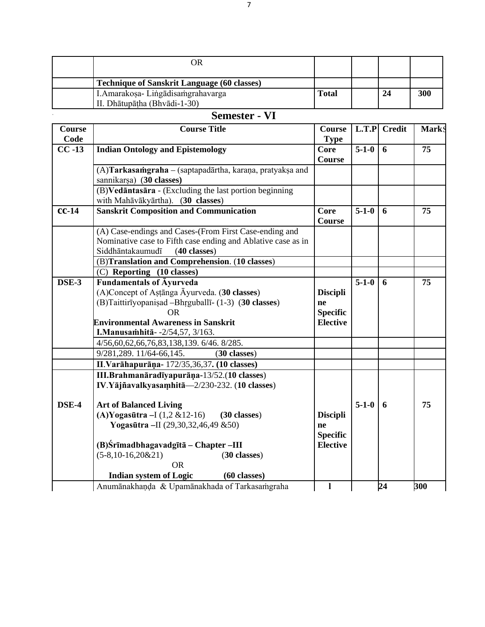| <b>Technique of Sanskrit Language (60 classes)</b> |              |  |    |     |
|----------------------------------------------------|--------------|--|----|-----|
| I. Amarakosa-Lingadisamgrahavarga                  | <b>Total</b> |  | 24 | 300 |
| II. Dhātupātha (Bhvādi-1-30)                       |              |  |    |     |
| Semester <sub>-</sub> VI                           |              |  |    |     |

### **Semester - VI**

| Course             | <b>Course Title</b>                                          | <b>Course</b>   |             | L.T.P Credit   | <b>MarkS</b>    |
|--------------------|--------------------------------------------------------------|-----------------|-------------|----------------|-----------------|
| Code               |                                                              | <b>Type</b>     |             |                |                 |
| $\overline{CC-13}$ | <b>Indian Ontology and Epistemology</b>                      | <b>Core</b>     | $5 - 1 - 0$ | $\overline{6}$ | $\overline{75}$ |
|                    |                                                              | <b>Course</b>   |             |                |                 |
|                    | (A)Tarkasamgraha - (saptapadārtha, karaņa, pratyakṣa and     |                 |             |                |                 |
|                    | sannikarsa) (30 classes)                                     |                 |             |                |                 |
|                    | (B) Vedāntasāra - (Excluding the last portion beginning      |                 |             |                |                 |
|                    | with Mahāvākyārtha). (30 classes)                            |                 |             |                |                 |
| $cc-14$            | <b>Sanskrit Composition and Communication</b>                | <b>Core</b>     | $5 - 1 - 0$ | 6              | 75              |
|                    |                                                              | <b>Course</b>   |             |                |                 |
|                    | (A) Case-endings and Cases-(From First Case-ending and       |                 |             |                |                 |
|                    | Nominative case to Fifth case ending and Ablative case as in |                 |             |                |                 |
|                    | Siddhāntakaumudī<br>$(40$ classes)                           |                 |             |                |                 |
|                    | (B)Translation and Comprehension. (10 classes)               |                 |             |                |                 |
|                    | (C) Reporting (10 classes)                                   |                 |             |                |                 |
| DSE-3              | <b>Fundamentals of Ayurveda</b>                              |                 | $5 - 1 - 0$ | 6              | 75              |
|                    | (A)Concept of Astanga Āyurveda. (30 classes)                 | <b>Discipli</b> |             |                |                 |
|                    | (B)Taittirīyopanisad -Bhrguballī- (1-3) (30 classes)         | ne              |             |                |                 |
|                    | OR.                                                          | <b>Specific</b> |             |                |                 |
|                    | <b>Environmental Awareness in Sanskrit</b>                   | <b>Elective</b> |             |                |                 |
|                    | I. Manusamhitā - - 2/54, 57, 3/163.                          |                 |             |                |                 |
|                    | 4/56,60,62,66,76,83,138,139.6/46.8/285.                      |                 |             |                |                 |
|                    | 9/281,289. 11/64-66,145.<br>(30 classes)                     |                 |             |                |                 |
|                    | II. Varāhapurāņa - 172/35, 36, 37. (10 classes)              |                 |             |                |                 |
|                    | III.Brahmanāradīyapurāņa-13/52.(10 classes)                  |                 |             |                |                 |
|                    | IV.Yājñavalkyasamhitā—2/230-232. (10 classes)                |                 |             |                |                 |
| DSE-4              | <b>Art of Balanced Living</b>                                |                 | $5 - 1 - 0$ | 6              | 75              |
|                    | (A) Yogasūtra - $I(1, 2 \& 12-16)$ (30 classes)              | <b>Discipli</b> |             |                |                 |
|                    | Yogasūtra-II (29,30,32,46,49 &50)                            | ne              |             |                |                 |
|                    |                                                              | <b>Specific</b> |             |                |                 |
|                    | (B)Srīmadbhagavadgītā - Chapter -III                         | <b>Elective</b> |             |                |                 |
|                    | $(5-8, 10-16, 20&21)$<br>(30 classes)                        |                 |             |                |                 |
|                    | <b>OR</b>                                                    |                 |             |                |                 |
|                    | <b>Indian system of Logic</b><br>$(60 \text{ classes})$      |                 |             |                |                 |
|                    | Anumānakhaņda & Upamānakhada of Tarkasamgraha                | ı               |             | 24             | 300             |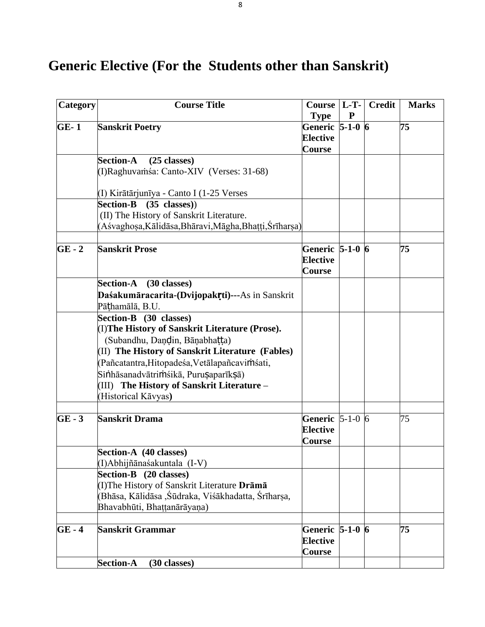# **Generic Elective (For the Students other than Sanskrit)**

| Category | <b>Course Title</b>                                     | <b>Course</b>       | $L-T-$    | <b>Credit</b> | <b>Marks</b> |
|----------|---------------------------------------------------------|---------------------|-----------|---------------|--------------|
|          |                                                         | <b>Type</b>         | ${\bf P}$ |               |              |
| $GE-1$   | <b>Sanskrit Poetry</b>                                  | Generic 5-1-0 6     |           |               | 75           |
|          |                                                         | <b>Elective</b>     |           |               |              |
|          |                                                         | <b>Course</b>       |           |               |              |
|          | <b>Section-A</b><br>$(25$ classes)                      |                     |           |               |              |
|          | (I)Raghuvamása: Canto-XIV (Verses: 31-68)               |                     |           |               |              |
|          |                                                         |                     |           |               |              |
|          | (I) Kirātārjunīya - Canto I (1-25 Verses                |                     |           |               |              |
|          | $(35 \text{ classes})$<br><b>Section-B</b>              |                     |           |               |              |
|          | (II) The History of Sanskrit Literature.                |                     |           |               |              |
|          | (Aśvaghosa, Kālidāsa, Bhāravi, Māgha, Bhaṭṭi, Śrīharṣa) |                     |           |               |              |
|          |                                                         |                     |           |               |              |
| $GE - 2$ | <b>Sanskrit Prose</b>                                   | Generic 5-1-0 6     |           |               | 75           |
|          |                                                         | <b>Elective</b>     |           |               |              |
|          |                                                         | Course              |           |               |              |
|          | Section-A (30 classes)                                  |                     |           |               |              |
|          | Daśakumāracarita-(Dvijopakrti)---As in Sanskrit         |                     |           |               |              |
|          | Pāthamālā, B.U.                                         |                     |           |               |              |
|          | Section-B (30 classes)                                  |                     |           |               |              |
|          | (I) The History of Sanskrit Literature (Prose).         |                     |           |               |              |
|          | (Subandhu, Dandin, Bāņabhatta)                          |                     |           |               |              |
|          | (II) The History of Sanskrit Literature (Fables)        |                     |           |               |              |
|          | (Pañcatantra, Hitopadeśa, Vetālapañcavimśati,           |                     |           |               |              |
|          | Sinhāsanadvātrimśikā, Purușaparīkșā)                    |                     |           |               |              |
|          | (III) The History of Sanskrit Literature -              |                     |           |               |              |
|          | (Historical Kāvyas)                                     |                     |           |               |              |
|          |                                                         |                     |           |               |              |
| $GE - 3$ | <b>Sanskrit Drama</b>                                   | Generic $ 5-1-0 $ 6 |           |               | 75           |
|          |                                                         | <b>Elective</b>     |           |               |              |
|          |                                                         | Course              |           |               |              |
|          | Section-A (40 classes)                                  |                     |           |               |              |
|          | (I)Abhijñānaśakuntala (I-V)                             |                     |           |               |              |
|          | Section-B (20 classes)                                  |                     |           |               |              |
|          | (I) The History of Sanskrit Literature Drāmā            |                     |           |               |              |
|          | (Bhāsa, Kālidāsa , Śūdraka, Viśākhadatta, Śrīharṣa,     |                     |           |               |              |
|          | Bhavabhūti, Bhaṭṭanārāyaṇa)                             |                     |           |               |              |
|          |                                                         |                     |           |               |              |
| $GE - 4$ | Sanskrit Grammar                                        | Generic $5-1-0$ $6$ |           |               | 75           |
|          |                                                         | <b>Elective</b>     |           |               |              |
|          |                                                         | Course              |           |               |              |
|          | <b>Section-A</b><br>(30 classes)                        |                     |           |               |              |